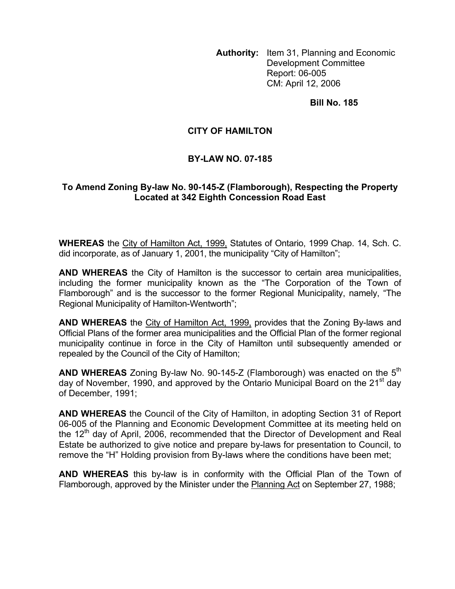**Authority:** Item 31, Planning and Economic Development Committee Report: 06-005 CM: April 12, 2006

**Bill No. 185** 

## **CITY OF HAMILTON**

## **BY-LAW NO. 07-185**

## **To Amend Zoning By-law No. 90-145-Z (Flamborough), Respecting the Property Located at 342 Eighth Concession Road East**

**WHEREAS** the City of Hamilton Act, 1999, Statutes of Ontario, 1999 Chap. 14, Sch. C. did incorporate, as of January 1, 2001, the municipality "City of Hamilton";

**AND WHEREAS** the City of Hamilton is the successor to certain area municipalities, including the former municipality known as the "The Corporation of the Town of Flamborough" and is the successor to the former Regional Municipality, namely, "The Regional Municipality of Hamilton-Wentworth";

**AND WHEREAS** the City of Hamilton Act, 1999, provides that the Zoning By-laws and Official Plans of the former area municipalities and the Official Plan of the former regional municipality continue in force in the City of Hamilton until subsequently amended or repealed by the Council of the City of Hamilton;

**AND WHEREAS** Zoning By-law No. 90-145-Z (Flamborough) was enacted on the 5<sup>th</sup> day of November, 1990, and approved by the Ontario Municipal Board on the 21<sup>st</sup> day of December, 1991;

**AND WHEREAS** the Council of the City of Hamilton, in adopting Section 31 of Report 06-005 of the Planning and Economic Development Committee at its meeting held on the  $12<sup>th</sup>$  day of April, 2006, recommended that the Director of Development and Real Estate be authorized to give notice and prepare by-laws for presentation to Council, to remove the "H" Holding provision from By-laws where the conditions have been met;

**AND WHEREAS** this by-law is in conformity with the Official Plan of the Town of Flamborough, approved by the Minister under the Planning Act on September 27, 1988;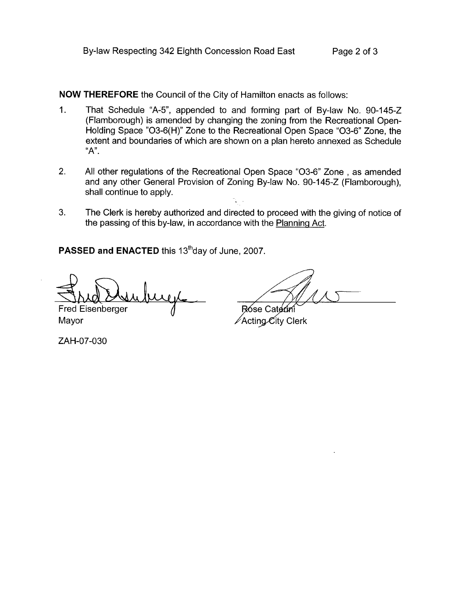**NOW THEREFORE** the Council of the City of Hamilton enacts as follows:

- 1. That Schedule "A-5", appended to and forming part of By-law No. 90-145-Z (Flamborough) is amended by changing the zoning from the Recreational Open-Holding Space "03-6( H)" Zone to the Recreational Open Space "03-6" Zone, the extent and boundaries of which are shown on a plan hereto annexed as Schedule "A".
- 2. All other regulations of the Recreational Open Space "03-6" Zone , as amended and any other General Provision of Zoning By-law No. 90-145-2 (Flamborough), shall continue to apply.
- **3.** The Clerk is hereby authorized and directed to proceed with the giving of notice of the passing of this by-law, in accordance with the Planninq Act.

PASSED and ENACTED this 13<sup>th</sup>day of June, 2007.

**Fred Eisenberger** 

Mayor

ZAH-07-030

Róse Caterini **∕Acting City Clerk**